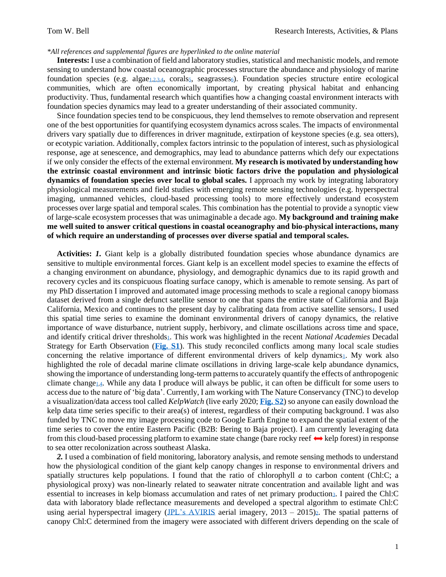## *\*All references and supplemental figures are hyperlinked to the online material*

**Interests:** I use a combination of field and laboratory studies, statistical and mechanistic models, and remote sensing to understand how coastal oceanographic processes structure the abundance and physiology of marine foundation species (e.g. algae<sub>[1,](http://www.tomwbell.net/uploads/5/6/9/7/56976837/bell_et_al_2015.pdf)[2,](http://www.tomwbell.net/uploads/5/6/9/7/56976837/bell_etal_2015_rse.pdf)[3,](http://www.tomwbell.net/uploads/5/6/9/7/56976837/bell_etal_2018_lo.pdf)[4](http://www.tomwbell.net/uploads/5/6/9/7/56976837/bell_etal_2018_rse.pdf)</sub>[,](http://www.tomwbell.net/uploads/5/6/9/7/56976837/bell_etal_2020_rse.pdf) corals<sub>5</sub>, seagrasses<sub>6</sub>[\)](http://www.tomwbell.net/uploads/5/6/9/7/56976837/figure_3a.pdf). Foundation species structure entire ecological communities, which are often economically important, by creating physical habitat and enhancing productivity. Thus, fundamental research which quantifies how a changing coastal environment interacts with foundation species dynamics may lead to a greater understanding of their associated community.

Since foundation species tend to be conspicuous, they lend themselves to remote observation and represent one of the best opportunities for quantifying ecosystem dynamics across scales. The impacts of environmental drivers vary spatially due to differences in driver magnitude, extirpation of keystone species (e.g. sea otters), or ecotypic variation. Additionally, complex factors intrinsic to the population of interest, such as physiological response, age at senescence, and demographics, may lead to abundance patterns which defy our expectations if we only consider the effects of the external environment. **My research is motivated by understanding how the extrinsic coastal environment and intrinsic biotic factors drive the population and physiological dynamics of foundation species over local to global scales.** I approach my work by integrating laboratory physiological measurements and field studies with emerging remote sensing technologies (e.g. hyperspectral imaging, unmanned vehicles, cloud-based processing tools) to more effectively understand ecosystem processes over large spatial and temporal scales. This combination has the potential to provide a synoptic view of large-scale ecosystem processes that was unimaginable a decade ago. **My background and training make me well suited to answer critical questions in coastal oceanography and bio-physical interactions, many of which require an understanding of processes over diverse spatial and temporal scales.**

**Activities:** *1.* Giant kelp is a globally distributed foundation species whose abundance dynamics are sensitive to multiple environmental forces. Giant kelp is an excellent model species to examine the effects of a changing environment on abundance, physiology, and demographic dynamics due to its rapid growth and recovery cycles and its conspicuous floating surface canopy, which is amenable to remote sensing. As part of my PhD dissertation I improved and automated image processing methods to scale a regional canopy biomass dataset derived from a single defunct satellite sensor to one that spans the entire state of California and Baja California, Mexico and continue[s](http://www.tomwbell.net/uploads/5/6/9/7/56976837/bell_etal_2018_rse.pdf) to the present day by calibrating data from active satellite sensors $4$ . I used this spatial time series to examine the dominant environmental drivers of canopy dynamics, the relative importance of wave disturbance, nutrient supply, herbivory, and climate oscillations across time and space, and identify critical driver threshold[s](http://www.tomwbell.net/uploads/5/6/9/7/56976837/bell_et_al_2015.pdf)1. This work was highlighted in the recent *National Academies* Decadal Strategy for Earth Observation (**[Fig. S1](http://www.tomwbell.net/uploads/5/6/9/7/56976837/nat_academies.pdf)**). This study reconciled conflicts among many local scale studies concerning the relative importance of different environmental driver[s](http://www.tomwbell.net/uploads/5/6/9/7/56976837/bell_et_al_2015.pdf) of kelp dynamics<sub>1</sub>. My work also highlighted the role of decadal marine climate oscillations in driving large-scale kelp abundance dynamics, showing the importance of understanding long-term patterns to accurately quantify the effects of anthropogenic climate change[1](http://www.tomwbell.net/uploads/5/6/9/7/56976837/bell_et_al_2015.pdf)[,4](http://www.tomwbell.net/uploads/5/6/9/7/56976837/bell_etal_2018_rse.pdf). While any data I produce will always be public, it can often be difficult for some users to access due to the nature of 'big data'. Currently, I am working with The Nature Conservancy (TNC) to develop a visualization/data access tool called *KelpWatch* (live early 2020; **[Fig. S2](http://www.tomwbell.net/uploads/5/6/9/7/56976837/kelpwatch_fig1.gif)**) so anyone can easily download the kelp data time series specific to their area(s) of interest, regardless of their computing background. I was also funded by TNC to move my image processing code to Google Earth Engine to expand the spatial extent of the time series to cover the entire Eastern Pacific (B2B: Bering to Baja project). I am currently leveraging data from this cloud-based processing platform to examine state change (bare rocky reef  $\leftrightarrow$  kelp forest) in response to sea otter recolonization across southeast Alaska.

*2.* I used a combination of field monitoring, laboratory analysis, and remote sensing methods to understand how the physiological condition of the giant kelp canopy changes in response to environmental drivers and spatially structures kelp populations. I found that the ratio of chlorophyll *a* to carbon content (Chl:C; a physiological proxy) was non-linearly related to seawater nitrate concentration and available light and was essential to increases in kelp biomass accumulation and rates of net primary productio[n](http://www.tomwbell.net/uploads/5/6/9/7/56976837/bell_etal_2018_lo.pdf)3. I paired the Chl:C data with laboratory blade reflectance measurements and developed a spectral algorithm to estimate Chl:C using aerial hyperspectral imagery [\(JPL's AVIRIS](https://aviris.jpl.nasa.gov/) aerial imagery,  $2013 - 2015$ [\)](http://www.tomwbell.net/uploads/5/6/9/7/56976837/bell_etal_2015_rse.pdf) a. The spatial patterns of canopy Chl:C determined from the imagery were associated with different drivers depending on the scale of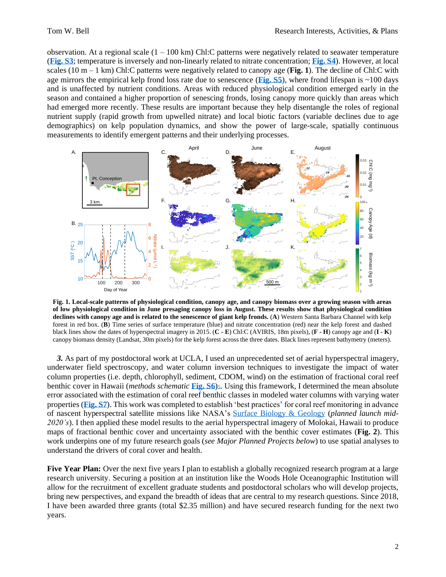observation. At a regional scale  $(1 - 100 \text{ km})$  Chl:C patterns were negatively related to seawater temperature (**[Fig. S3](http://www.tomwbell.net/uploads/5/6/9/7/56976837/fig_s3.pdf)**; temperature is inversely and non-linearly related to nitrate concentration; **[Fig. S4](http://www.tomwbell.net/uploads/5/6/9/7/56976837/fig_s4.pdf)**). However, at local scales (10 m – 1 km) Chl:C patterns were negatively related to canopy age (**Fig. 1**). The decline of Chl:C with age mirrors the empirical kelp frond loss rate due to senescence (**[Fig. S5](http://www.tomwbell.net/uploads/5/6/9/7/56976837/fig_s5.pdf)**), where frond lifespan is  $\sim$ 100 days and is unaffected by nutrient conditions. Areas with reduced physiological condition emerged early in the season and contained a higher proportion of senescing fronds, losing canopy more quickly than areas which had emerged more recently. These results are important because they help disentangle the roles of regional nutrient supply (rapid growth from upwelled nitrate) and local biotic factors (variable declines due to age demographics) on kelp population dynamics, and show the power of large-scale, spatially continuous measurements to identify emergent patterns and their underlying processes.



**Fig. 1. Local-scale patterns of physiological condition, canopy age, and canopy biomass over a growing season with areas of low physiological condition in June presaging canopy loss in August. These results show that physiological condition declines with canopy age and is related to the senescence of giant kelp fronds.** (**A**) Western Santa Barbara Channel with kelp forest in red box. (**B**) Time series of surface temperature (blue) and nitrate concentration (red) near the kelp forest and dashed black lines show the dates of hyperspectral imagery in 2015. (**C - E**) Chl:C (AVIRIS, 18m pixels), (**F - H**) canopy age and (**I - K**) canopy biomass density (Landsat, 30m pixels) for the kelp forest across the three dates. Black lines represent bathymetry (meters).

*3.* As part of my postdoctoral work at UCLA, I used an unprecedented set of aerial hyperspectral imagery, underwater field spectroscopy, and water column inversion techniques to investigate the impact of water column properties (i.e. depth, chlorophyll, sediment, CDOM, wind) on the estimation of fractional coral reef benthic cover in Hawaii (*methods schematic* **[Fig. S6](http://www.tomwbell.net/uploads/5/6/9/7/56976837/fig_s6.pdf)**)5[.](http://www.tomwbell.net/uploads/5/6/9/7/56976837/bell_etal_2020_rse.pdf) Using this framework, I determined the mean absolute error associated with the estimation of coral reef benthic classes in modeled water columns with varying water properties (**[Fig. S7](http://www.tomwbell.net/uploads/5/6/9/7/56976837/fig_s7.pdf)**). This work was completed to establish 'best practices' for coral reef monitoring in advance of nascent hyperspectral satellite missions like NASA's [Surface Biology & Geology](https://science.nasa.gov/earth-science/decadal-sbg) (*planned launch mid-2020's*). I then applied these model results to the aerial hyperspectral imagery of Molokai, Hawaii to produce maps of fractional benthic cover and uncertainty associated with the benthic cover estimates (**Fig. 2**). This work underpins one of my future research goals (*see Major Planned Projects below*) to use spatial analyses to understand the drivers of coral cover and health.

**Five Year Plan:** Over the next five years I plan to establish a globally recognized research program at a large research university. Securing a position at an institution like the Woods Hole Oceanographic Institution will allow for the recruitment of excellent graduate students and postdoctoral scholars who will develop projects, bring new perspectives, and expand the breadth of ideas that are central to my research questions. Since 2018, I have been awarded three grants (total \$2.35 million) and have secured research funding for the next two years.